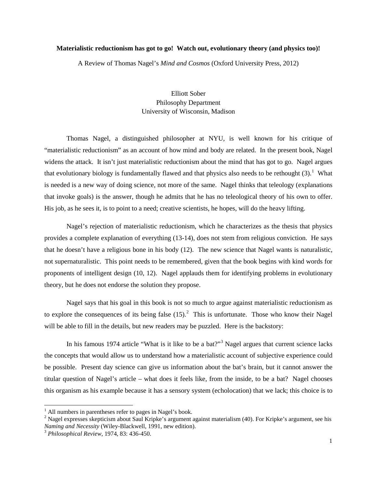## **Materialistic reductionism has got to go! Watch out, evolutionary theory (and physics too)!**

A Review of Thomas Nagel's *Mind and Cosmos* (Oxford University Press, 2012)

## Elliott Sober Philosophy Department University of Wisconsin, Madison

Thomas Nagel, a distinguished philosopher at NYU, is well known for his critique of "materialistic reductionism" as an account of how mind and body are related. In the present book, Nagel widens the attack. It isn't just materialistic reductionism about the mind that has got to go. Nagel argues that evolutionary biology is fundamentally flawed and that physics also needs to be rethought  $(3)$ .<sup>[1](#page-0-0)</sup> What is needed is a new way of doing science, not more of the same. Nagel thinks that teleology (explanations that invoke goals) is the answer, though he admits that he has no teleological theory of his own to offer. His job, as he sees it, is to point to a need; creative scientists, he hopes, will do the heavy lifting.

Nagel's rejection of materialistic reductionism, which he characterizes as the thesis that physics provides a complete explanation of everything (13-14), does not stem from religious conviction. He says that he doesn't have a religious bone in his body (12). The new science that Nagel wants is naturalistic, not supernaturalistic. This point needs to be remembered, given that the book begins with kind words for proponents of intelligent design (10, 12). Nagel applauds them for identifying problems in evolutionary theory, but he does not endorse the solution they propose.

Nagel says that his goal in this book is not so much to argue against materialistic reductionism as to explore the consequences of its being false  $(15)$ .<sup>[2](#page-0-1)</sup> This is unfortunate. Those who know their Nagel will be able to fill in the details, but new readers may be puzzled. Here is the backstory:

In his famous 1974 article "What is it like to be a bat?"<sup>[3](#page-0-2)</sup> Nagel argues that current science lacks the concepts that would allow us to understand how a materialistic account of subjective experience could be possible. Present day science can give us information about the bat's brain, but it cannot answer the titular question of Nagel's article – what does it feels like, from the inside, to be a bat? Nagel chooses this organism as his example because it has a sensory system (echolocation) that we lack; this choice is to

<span id="page-0-0"></span> $<sup>1</sup>$  All numbers in parentheses refer to pages in Nagel's book.</sup>

<span id="page-0-1"></span><sup>&</sup>lt;sup>2</sup> Nagel expresses skepticism about Saul Kripke's argument against materialism (40). For Kripke's argument, see his *Naming and Necessity* (Wiley-Blackwell, 1991, new edition).

<span id="page-0-2"></span><sup>3</sup> *Philosophical Review*, 1974, 83: 436-450.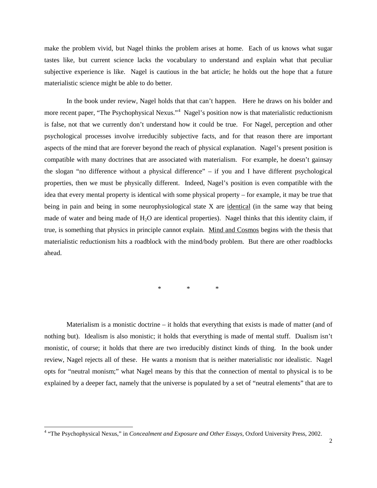make the problem vivid, but Nagel thinks the problem arises at home. Each of us knows what sugar tastes like, but current science lacks the vocabulary to understand and explain what that peculiar subjective experience is like. Nagel is cautious in the bat article; he holds out the hope that a future materialistic science might be able to do better.

In the book under review, Nagel holds that that can't happen. Here he draws on his bolder and more recent paper, "The Psychophysical Nexus."<sup>[4](#page-1-0)</sup> Nagel's position now is that materialistic reductionism is false, not that we currently don't understand how it could be true. For Nagel, perception and other psychological processes involve irreducibly subjective facts, and for that reason there are important aspects of the mind that are forever beyond the reach of physical explanation. Nagel's present position is compatible with many doctrines that are associated with materialism. For example, he doesn't gainsay the slogan "no difference without a physical difference" – if you and I have different psychological properties, then we must be physically different. Indeed, Nagel's position is even compatible with the idea that every mental property is identical with some physical property – for example, it may be true that being in pain and being in some neurophysiological state X are identical (in the same way that being made of water and being made of  $H_2O$  are identical properties). Nagel thinks that this identity claim, if true, is something that physics in principle cannot explain. Mind and Cosmos begins with the thesis that materialistic reductionism hits a roadblock with the mind/body problem. But there are other roadblocks ahead.

\* \* \*

Materialism is a monistic doctrine  $-$  it holds that everything that exists is made of matter (and of nothing but). Idealism is also monistic; it holds that everything is made of mental stuff. Dualism isn't monistic, of course; it holds that there are two irreducibly distinct kinds of thing. In the book under review, Nagel rejects all of these. He wants a monism that is neither materialistic nor idealistic. Nagel opts for "neutral monism;" what Nagel means by this that the connection of mental to physical is to be explained by a deeper fact, namely that the universe is populated by a set of "neutral elements" that are to

<span id="page-1-0"></span> <sup>4</sup> "The Psychophysical Nexus," in *Concealment and Exposure and Other Essays*, Oxford University Press, 2002.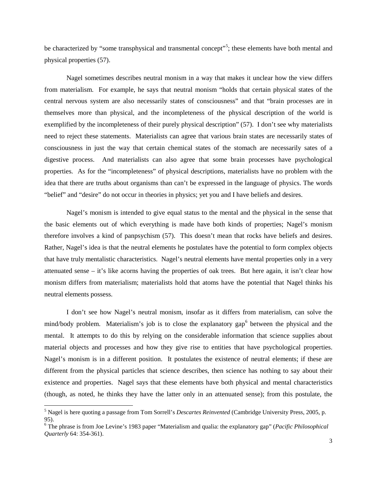be characterized by "some transphysical and transmental concept"<sup>[5](#page-2-0)</sup>; these elements have both mental and physical properties (57).

Nagel sometimes describes neutral monism in a way that makes it unclear how the view differs from materialism. For example, he says that neutral monism "holds that certain physical states of the central nervous system are also necessarily states of consciousness" and that "brain processes are in themselves more than physical, and the incompleteness of the physical description of the world is exemplified by the incompleteness of their purely physical description" (57). I don't see why materialists need to reject these statements. Materialists can agree that various brain states are necessarily states of consciousness in just the way that certain chemical states of the stomach are necessarily sates of a digestive process. And materialists can also agree that some brain processes have psychological properties. As for the "incompleteness" of physical descriptions, materialists have no problem with the idea that there are truths about organisms than can't be expressed in the language of physics. The words "belief" and "desire" do not occur in theories in physics; yet you and I have beliefs and desires.

Nagel's monism is intended to give equal status to the mental and the physical in the sense that the basic elements out of which everything is made have both kinds of properties; Nagel's monism therefore involves a kind of panpsychism (57). This doesn't mean that rocks have beliefs and desires. Rather, Nagel's idea is that the neutral elements he postulates have the potential to form complex objects that have truly mentalistic characteristics. Nagel's neutral elements have mental properties only in a very attenuated sense – it's like acorns having the properties of oak trees. But here again, it isn't clear how monism differs from materialism; materialists hold that atoms have the potential that Nagel thinks his neutral elements possess.

I don't see how Nagel's neutral monism, insofar as it differs from materialism, can solve the mind/body problem. Materialism's job is to close the explanatory gap<sup>[6](#page-2-1)</sup> between the physical and the mental. It attempts to do this by relying on the considerable information that science supplies about material objects and processes and how they give rise to entities that have psychological properties. Nagel's monism is in a different position. It postulates the existence of neutral elements; if these are different from the physical particles that science describes, then science has nothing to say about their existence and properties. Nagel says that these elements have both physical and mental characteristics (though, as noted, he thinks they have the latter only in an attenuated sense); from this postulate, the

<span id="page-2-0"></span> <sup>5</sup> Nagel is here quoting a passage from Tom Sorrell's *Descartes Reinvented* (Cambridge University Press, 2005, p. 95).

<span id="page-2-1"></span><sup>6</sup> The phrase is from Joe Levine's 1983 paper ["Materialism and qualia: the explanatory gap"](http://www.jstor.org/view/00318205/di975019/97p0025t/0) (*Pacific Philosophical Quarterly* 64: 354-361).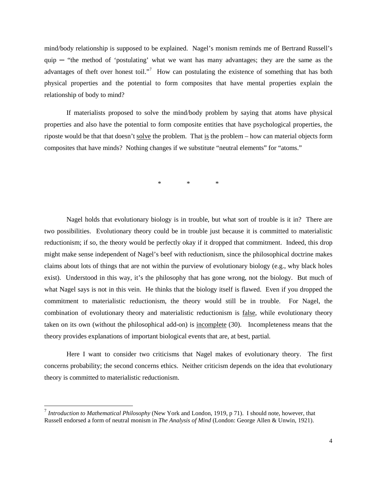mind/body relationship is supposed to be explained. Nagel's monism reminds me of Bertrand Russell's quip  $-$  "the method of 'postulating' what we want has many advantages; they are the same as the advantages of theft over honest toil."<sup>[7](#page-3-0)</sup> How can postulating the existence of something that has both physical properties and the potential to form composites that have mental properties explain the relationship of body to mind?

If materialists proposed to solve the mind/body problem by saying that atoms have physical properties and also have the potential to form composite entities that have psychological properties, the riposte would be that that doesn't solve the problem. That is the problem – how can material objects form composites that have minds? Nothing changes if we substitute "neutral elements" for "atoms."

\* \* \*

Nagel holds that evolutionary biology is in trouble, but what sort of trouble is it in? There are two possibilities. Evolutionary theory could be in trouble just because it is committed to materialistic reductionism; if so, the theory would be perfectly okay if it dropped that commitment. Indeed, this drop might make sense independent of Nagel's beef with reductionism, since the philosophical doctrine makes claims about lots of things that are not within the purview of evolutionary biology (e.g., why black holes exist). Understood in this way, it's the philosophy that has gone wrong, not the biology. But much of what Nagel says is not in this vein. He thinks that the biology itself is flawed. Even if you dropped the commitment to materialistic reductionism, the theory would still be in trouble. For Nagel, the combination of evolutionary theory and materialistic reductionism is false, while evolutionary theory taken on its own (without the philosophical add-on) is incomplete (30). Incompleteness means that the theory provides explanations of important biological events that are, at best, partial.

Here I want to consider two criticisms that Nagel makes of evolutionary theory. The first concerns probability; the second concerns ethics. Neither criticism depends on the idea that evolutionary theory is committed to materialistic reductionism.

<span id="page-3-0"></span> <sup>7</sup> *Introduction to Mathematical Philosophy* (New York and London, 1919, p 71). I should note, however, that Russell endorsed a form of neutral monism in *The Analysis of Mind* (London: George Allen & Unwin, 1921).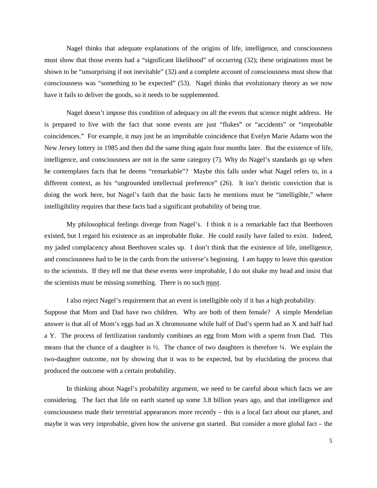Nagel thinks that adequate explanations of the origins of life, intelligence, and consciousness must show that those events had a "significant likelihood" of occurring (32); these originations must be shown to be "unsurprising if not inevitable" (32) and a complete account of consciousness must show that consciousness was "something to be expected" (53). Nagel thinks that evolutionary theory as we now have it fails to deliver the goods, so it needs to be supplemented.

Nagel doesn't impose this condition of adequacy on all the events that science might address. He is prepared to live with the fact that some events are just "flukes" or "accidents" or "improbable coincidences." For example, it may just be an improbable coincidence that Evelyn Marie Adams won the New Jersey lottery in 1985 and then did the same thing again four months later. But the existence of life, intelligence, and consciousness are not in the same category (7). Why do Nagel's standards go up when he contemplates facts that he deems "remarkable"? Maybe this falls under what Nagel refers to, in a different context, as his "ungrounded intellectual preference" (26). It isn't theistic conviction that is doing the work here, but Nagel's faith that the basic facts he mentions must be "intelligible," where intelligibility requires that these facts had a significant probability of being true.

My philosophical feelings diverge from Nagel's. I think it is a remarkable fact that Beethoven existed, but I regard his existence as an improbable fluke. He could easily have failed to exist. Indeed, my jaded complacency about Beethoven scales up. I don't think that the existence of life, intelligence, and consciousness had to be in the cards from the universe's beginning. I am happy to leave this question to the scientists. If they tell me that these events were improbable, I do not shake my head and insist that the scientists must be missing something. There is no such must.

I also reject Nagel's requirement that an event is intelligible only if it has a high probability. Suppose that Mom and Dad have two children. Why are both of them female? A simple Mendelian answer is that all of Mom's eggs had an X chromosome while half of Dad's sperm had an X and half had a Y. The process of fertilization randomly combines an egg from Mom with a sperm from Dad. This means that the chance of a daughter is  $\frac{1}{2}$ . The chance of two daughters is therefore  $\frac{1}{4}$ . We explain the two-daughter outcome, not by showing that it was to be expected, but by elucidating the process that produced the outcome with a certain probability.

In thinking about Nagel's probability argument, we need to be careful about which facts we are considering. The fact that life on earth started up some 3.8 billion years ago, and that intelligence and consciousness made their terrestrial appearances more recently – this is a local fact about our planet, and maybe it was very improbable, given how the universe got started. But consider a more global fact – the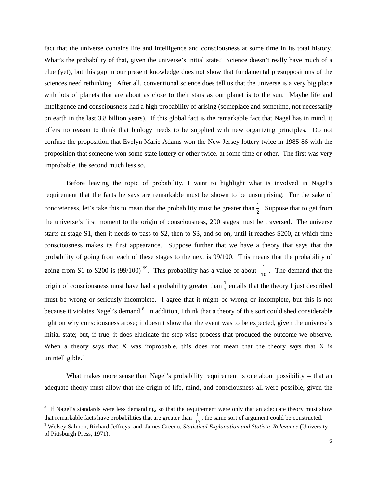fact that the universe contains life and intelligence and consciousness at some time in its total history*.* What's the probability of that, given the universe's initial state? Science doesn't really have much of a clue (yet), but this gap in our present knowledge does not show that fundamental presuppositions of the sciences need rethinking. After all, conventional science does tell us that the universe is a very big place with lots of planets that are about as close to their stars as our planet is to the sun. Maybe life and intelligence and consciousness had a high probability of arising (someplace and sometime, not necessarily on earth in the last 3.8 billion years). If this global fact is the remarkable fact that Nagel has in mind, it offers no reason to think that biology needs to be supplied with new organizing principles. Do not confuse the proposition that Evelyn Marie Adams won the New Jersey lottery twice in 1985-86 with the proposition that someone won some state lottery or other twice, at some time or other. The first was very improbable, the second much less so.

Before leaving the topic of probability, I want to highlight what is involved in Nagel's requirement that the facts he says are remarkable must be shown to be unsurprising. For the sake of concreteness, let's take this to mean that the probability must be greater than  $\frac{1}{2}$ . Suppose that to get from the universe's first moment to the origin of consciousness, 200 stages must be traversed. The universe starts at stage S1, then it needs to pass to S2, then to S3, and so on, until it reaches S200, at which time consciousness makes its first appearance. Suppose further that we have a theory that says that the probability of going from each of these stages to the next is 99/100. This means that the probability of going from S1 to S200 is  $(99/100)^{199}$ . This probability has a value of about  $\frac{1}{10}$ . The demand that the origin of consciousness must have had a probability greater than  $\frac{1}{2}$  entails that the theory I just described must be wrong or seriously incomplete. I agree that it might be wrong or incomplete, but this is not because it violates Nagel's demand.<sup>[8](#page-5-0)</sup> In addition, I think that a theory of this sort could shed considerable light on why consciousness arose; it doesn't show that the event was to be expected, given the universe's initial state; but, if true, it does elucidate the step-wise process that produced the outcome we observe. When a theory says that  $X$  was improbable, this does not mean that the theory says that  $X$  is unintelligible.<sup>[9](#page-5-1)</sup>

What makes more sense than Nagel's probability requirement is one about possibility -- that an adequate theory must allow that the origin of life, mind, and consciousness all were possible, given the

<span id="page-5-1"></span><span id="page-5-0"></span> <sup>8</sup> <sup>8</sup> If Nagel's standards were less demanding, so that the requirement were only that an adequate theory must show that remarkable facts have probabilities that are greater than  $\frac{1}{10}$ , the same sort of argument could be constructed. <sup>9</sup> Welsey Salmon, Richard Jeffreys, and James Greeno, *Statistical Explanation and Statistic Relevance* (University of Pittsburgh Press, 1971).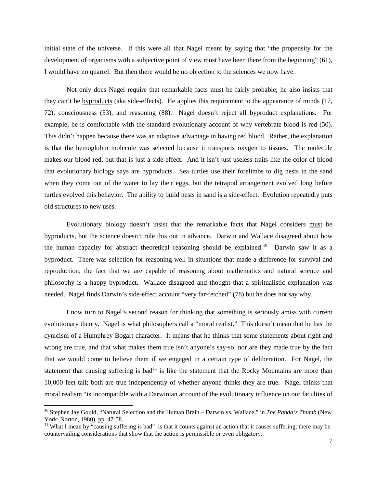initial state of the universe. If this were all that Nagel meant by saying that "the propensity for the development of organisms with a subjective point of view must have been there from the beginning" (61), I would have no quarrel. But then there would be no objection to the sciences we now have.

Not only does Nagel require that remarkable facts must be fairly probable; he also insists that they can't be **byproducts** (aka side-effects). He applies this requirement to the appearance of minds (17, 72), consciousness (53), and reasoning (88). Nagel doesn't reject all byproduct explanations. For example, he is comfortable with the standard evolutionary account of why vertebrate blood is red (50). This didn't happen because there was an adaptive advantage in having red blood. Rather, the explanation is that the hemoglobin molecule was selected because it transports oxygen to tissues. The molecule makes our blood red, but that is just a side-effect. And it isn't just useless traits like the color of blood that evolutionary biology says are byproducts. Sea turtles use their forelimbs to dig nests in the sand when they come out of the water to lay their eggs, but the tetrapod arrangement evolved long before turtles evolved this behavior. The ability to build nests in sand is a side-effect. Evolution repeatedly puts old structures to new uses.

Evolutionary biology doesn't insist that the remarkable facts that Nagel considers must be byproducts, but the science doesn't rule this out in advance. Darwin and Wallace disagreed about how the human capacity for abstract theoretical reasoning should be explained.<sup>[10](#page-6-0)</sup> Darwin saw it as a byproduct. There was selection for reasoning well in situations that made a difference for survival and reproduction; the fact that we are capable of reasoning about mathematics and natural science and philosophy is a happy byproduct. Wallace disagreed and thought that a spiritualistic explanation was needed. Nagel finds Darwin's side-effect account "very far-fetched" (78) but he does not say why.

I now turn to Nagel's second reason for thinking that something is seriously amiss with current evolutionary theory. Nagel is what philosophers call a "moral realist." This doesn't mean that he has the cynicism of a Humphrey Bogart character. It means that he thinks that some statements about right and wrong are true, and that what makes them true isn't anyone's say-so, nor are they made true by the fact that we would come to believe them if we engaged in a certain type of deliberation. For Nagel, the statement that causing suffering is  $bad<sup>11</sup>$  $bad<sup>11</sup>$  $bad<sup>11</sup>$  is like the statement that the Rocky Mountains are more than 10,000 feet tall; both are true independently of whether anyone thinks they are true. Nagel thinks that moral realism "is incompatible with a Darwinian account of the evolutionary influence on our faculties of

<span id="page-6-0"></span><sup>&</sup>lt;sup>10</sup> Stephen Jay Gould, "Natural Selection and the Human Brain – Darwin vs. Wallace," in *The Panda's Thumb* (New York: Norton, 1980), pp. 47-58.

<span id="page-6-1"></span><sup>&</sup>lt;sup>11</sup> What I mean by "causing suffering is bad" is that it counts against an action that it causes suffering; there may be countervailing considerations that show that the action is permissible or even obligatory.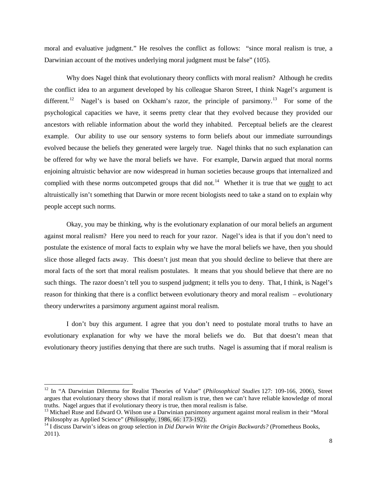moral and evaluative judgment." He resolves the conflict as follows: "since moral realism is true, a Darwinian account of the motives underlying moral judgment must be false" (105).

Why does Nagel think that evolutionary theory conflicts with moral realism? Although he credits the conflict idea to an argument developed by his colleague Sharon Street, I think Nagel's argument is different.<sup>[12](#page-7-0)</sup> Nagel's is based on Ockham's razor, the principle of parsimony.<sup>[13](#page-7-1)</sup> For some of the psychological capacities we have, it seems pretty clear that they evolved because they provided our ancestors with reliable information about the world they inhabited. Perceptual beliefs are the clearest example. Our ability to use our sensory systems to form beliefs about our immediate surroundings evolved because the beliefs they generated were largely true. Nagel thinks that no such explanation can be offered for why we have the moral beliefs we have. For example, Darwin argued that moral norms enjoining altruistic behavior are now widespread in human societies because groups that internalized and complied with these norms outcompeted groups that did not.<sup>[14](#page-7-2)</sup> Whether it is true that we <u>ought</u> to act altruistically isn't something that Darwin or more recent biologists need to take a stand on to explain why people accept such norms.

Okay, you may be thinking, why is the evolutionary explanation of our moral beliefs an argument against moral realism? Here you need to reach for your razor. Nagel's idea is that if you don't need to postulate the existence of moral facts to explain why we have the moral beliefs we have, then you should slice those alleged facts away. This doesn't just mean that you should decline to believe that there are moral facts of the sort that moral realism postulates. It means that you should believe that there are no such things. The razor doesn't tell you to suspend judgment; it tells you to deny. That, I think, is Nagel's reason for thinking that there is a conflict between evolutionary theory and moral realism – evolutionary theory underwrites a parsimony argument against moral realism.

I don't buy this argument. I agree that you don't need to postulate moral truths to have an evolutionary explanation for why we have the moral beliefs we do. But that doesn't mean that evolutionary theory justifies denying that there are such truths. Nagel is assuming that if moral realism is

<span id="page-7-0"></span> <sup>12</sup> In "A Darwinian Dilemma for Realist Theories of Value" (*Philosophical Studies* 127: 109-166, 2006), Street argues that evolutionary theory shows that if moral realism is true, then we can't have reliable knowledge of moral truths. Nagel argues that if evolutionary theory is true, then moral realism is false.

<span id="page-7-1"></span><sup>&</sup>lt;sup>13</sup> Michael Ruse and Edward O. Wilson use a Darwinian parsimony argument against moral realism in their "Moral Philosophy as Applied Science" (*Philosophy*, 1986, 66: 173-192).

<span id="page-7-2"></span><sup>&</sup>lt;sup>14</sup> I discuss Darwin's ideas on group selection in *Did Darwin Write the Origin Backwards?* (Prometheus Books, 2011).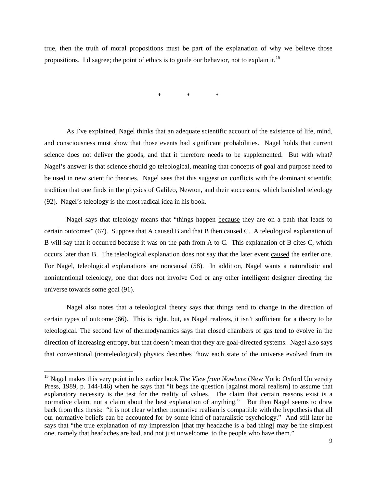true, then the truth of moral propositions must be part of the explanation of why we believe those propositions. I disagree; the point of ethics is to guide our behavior, not to explain it.<sup>[15](#page-8-0)</sup>

\* \* \*

As I've explained, Nagel thinks that an adequate scientific account of the existence of life, mind, and consciousness must show that those events had significant probabilities. Nagel holds that current science does not deliver the goods, and that it therefore needs to be supplemented. But with what? Nagel's answer is that science should go teleological, meaning that concepts of goal and purpose need to be used in new scientific theories. Nagel sees that this suggestion conflicts with the dominant scientific tradition that one finds in the physics of Galileo, Newton, and their successors, which banished teleology (92). Nagel's teleology is the most radical idea in his book.

Nagel says that teleology means that "things happen because they are on a path that leads to certain outcomes" (67). Suppose that A caused B and that B then caused C. A teleological explanation of B will say that it occurred because it was on the path from A to C. This explanation of B cites C, which occurs later than B. The teleological explanation does not say that the later event caused the earlier one. For Nagel, teleological explanations are noncausal (58). In addition, Nagel wants a naturalistic and nonintentional teleology, one that does not involve God or any other intelligent designer directing the universe towards some goal (91).

Nagel also notes that a teleological theory says that things tend to change in the direction of certain types of outcome (66). This is right, but, as Nagel realizes, it isn't sufficient for a theory to be teleological. The second law of thermodynamics says that closed chambers of gas tend to evolve in the direction of increasing entropy, but that doesn't mean that they are goal-directed systems. Nagel also says that conventional (nonteleological) physics describes "how each state of the universe evolved from its

<span id="page-8-0"></span> <sup>15</sup> Nagel makes this very point in his earlier book *The View from Nowhere* (New York: Oxford University Press, 1989, p. 144-146) when he says that "it begs the question [against moral realism] to assume that explanatory necessity is the test for the reality of values. The claim that certain reasons exist is a normative claim, not a claim about the best explanation of anything." But then Nagel seems to draw back from this thesis: "it is not clear whether normative realism is compatible with the hypothesis that all our normative beliefs can be accounted for by some kind of naturalistic psychology." And still later he says that "the true explanation of my impression [that my headache is a bad thing] may be the simplest one, namely that headaches are bad, and not just unwelcome, to the people who have them."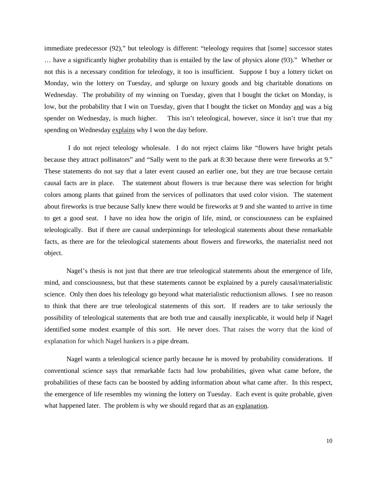immediate predecessor (92)," but teleology is different: "teleology requires that [some] successor states … have a significantly higher probability than is entailed by the law of physics alone (93)." Whether or not this is a necessary condition for teleology, it too is insufficient. Suppose I buy a lottery ticket on Monday, win the lottery on Tuesday, and splurge on luxury goods and big charitable donations on Wednesday. The probability of my winning on Tuesday, given that I bought the ticket on Monday, is low, but the probability that I win on Tuesday, given that I bought the ticket on Monday and was a big spender on Wednesday, is much higher. This isn't teleological, however, since it isn't true that my spending on Wednesday explains why I won the day before.

I do not reject teleology wholesale. I do not reject claims like "flowers have bright petals because they attract pollinators" and "Sally went to the park at 8:30 because there were fireworks at 9." These statements do not say that a later event caused an earlier one, but they are true because certain causal facts are in place. The statement about flowers is true because there was selection for bright colors among plants that gained from the services of pollinators that used color vision. The statement about fireworks is true because Sally knew there would be fireworks at 9 and she wanted to arrive in time to get a good seat. I have no idea how the origin of life, mind, or consciousness can be explained teleologically. But if there are causal underpinnings for teleological statements about these remarkable facts, as there are for the teleological statements about flowers and fireworks, the materialist need not object.

Nagel's thesis is not just that there are true teleological statements about the emergence of life, mind, and consciousness, but that these statements cannot be explained by a purely causal/materialistic science. Only then does his teleology go beyond what materialistic reductionism allows. I see no reason to think that there are true teleological statements of this sort. If readers are to take seriously the possibility of teleological statements that are both true and causally inexplicable, it would help if Nagel identified some modest example of this sort. He never does. That raises the worry that the kind of explanation for which Nagel hankers is a pipe dream.

Nagel wants a teleological science partly because he is moved by probability considerations. If conventional science says that remarkable facts had low probabilities, given what came before, the probabilities of these facts can be boosted by adding information about what came after. In this respect, the emergence of life resembles my winning the lottery on Tuesday. Each event is quite probable, given what happened later. The problem is why we should regard that as an explanation.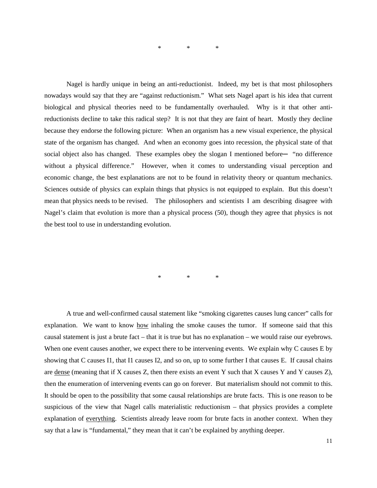\* \* \*

Nagel is hardly unique in being an anti-reductionist. Indeed, my bet is that most philosophers nowadays would say that they are "against reductionism." What sets Nagel apart is his idea that current biological and physical theories need to be fundamentally overhauled. Why is it that other antireductionists decline to take this radical step? It is not that they are faint of heart. Mostly they decline because they endorse the following picture: When an organism has a new visual experience, the physical state of the organism has changed. And when an economy goes into recession, the physical state of that social object also has changed. These examples obey the slogan I mentioned before— "no difference" without a physical difference." However, when it comes to understanding visual perception and economic change, the best explanations are not to be found in relativity theory or quantum mechanics. Sciences outside of physics can explain things that physics is not equipped to explain. But this doesn't mean that physics needs to be revised. The philosophers and scientists I am describing disagree with Nagel's claim that evolution is more than a physical process (50), though they agree that physics is not the best tool to use in understanding evolution.

\* \* \*

A true and well-confirmed causal statement like "smoking cigarettes causes lung cancer" calls for explanation. We want to know how inhaling the smoke causes the tumor. If someone said that this causal statement is just a brute fact – that it is true but has no explanation – we would raise our eyebrows. When one event causes another, we expect there to be intervening events. We explain why C causes E by showing that C causes I1, that I1 causes I2, and so on, up to some further I that causes E. If causal chains are dense (meaning that if X causes Z, then there exists an event Y such that X causes Y and Y causes Z), then the enumeration of intervening events can go on forever. But materialism should not commit to this. It should be open to the possibility that some causal relationships are brute facts. This is one reason to be suspicious of the view that Nagel calls materialistic reductionism – that physics provides a complete explanation of everything. Scientists already leave room for brute facts in another context. When they say that a law is "fundamental," they mean that it can't be explained by anything deeper.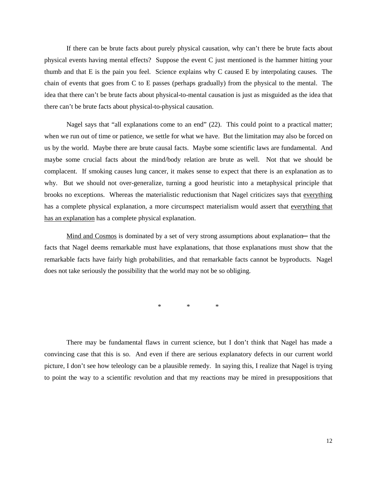If there can be brute facts about purely physical causation, why can't there be brute facts about physical events having mental effects? Suppose the event C just mentioned is the hammer hitting your thumb and that E is the pain you feel. Science explains why C caused E by interpolating causes. The chain of events that goes from C to E passes (perhaps gradually) from the physical to the mental. The idea that there can't be brute facts about physical-to-mental causation is just as misguided as the idea that there can't be brute facts about physical-to-physical causation.

Nagel says that "all explanations come to an end" (22). This could point to a practical matter; when we run out of time or patience, we settle for what we have. But the limitation may also be forced on us by the world. Maybe there are brute causal facts. Maybe some scientific laws are fundamental. And maybe some crucial facts about the mind/body relation are brute as well. Not that we should be complacent. If smoking causes lung cancer, it makes sense to expect that there is an explanation as to why. But we should not over-generalize, turning a good heuristic into a metaphysical principle that brooks no exceptions. Whereas the materialistic reductionism that Nagel criticizes says that everything has a complete physical explanation, a more circumspect materialism would assert that everything that has an explanation has a complete physical explanation.

Mind and Cosmos is dominated by a set of very strong assumptions about explanation— that the facts that Nagel deems remarkable must have explanations, that those explanations must show that the remarkable facts have fairly high probabilities, and that remarkable facts cannot be byproducts. Nagel does not take seriously the possibility that the world may not be so obliging.

\* \* \*

There may be fundamental flaws in current science, but I don't think that Nagel has made a convincing case that this is so. And even if there are serious explanatory defects in our current world picture, I don't see how teleology can be a plausible remedy. In saying this, I realize that Nagel is trying to point the way to a scientific revolution and that my reactions may be mired in presuppositions that